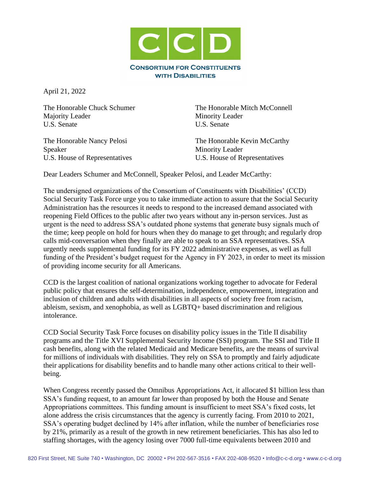

April 21, 2022

Majority Leader Minority Leader U.S. Senate U.S. Senate

Speaker Minority Leader

The Honorable Chuck Schumer The Honorable Mitch McConnell

The Honorable Nancy Pelosi The Honorable Kevin McCarthy U.S. House of Representatives U.S. House of Representatives

Dear Leaders Schumer and McConnell, Speaker Pelosi, and Leader McCarthy:

The undersigned organizations of the Consortium of Constituents with Disabilities' (CCD) Social Security Task Force urge you to take immediate action to assure that the Social Security Administration has the resources it needs to respond to the increased demand associated with reopening Field Offices to the public after two years without any in-person services. Just as urgent is the need to address SSA's outdated phone systems that generate busy signals much of the time; keep people on hold for hours when they do manage to get through; and regularly drop calls mid-conversation when they finally are able to speak to an SSA representatives. SSA urgently needs supplemental funding for its FY 2022 administrative expenses, as well as full funding of the President's budget request for the Agency in FY 2023, in order to meet its mission of providing income security for all Americans.

CCD is the largest coalition of national organizations working together to advocate for Federal public policy that ensures the self-determination, independence, empowerment, integration and inclusion of children and adults with disabilities in all aspects of society free from racism, ableism, sexism, and xenophobia, as well as LGBTQ+ based discrimination and religious intolerance.

CCD Social Security Task Force focuses on disability policy issues in the Title II disability programs and the Title XVI Supplemental Security Income (SSI) program. The SSI and Title II cash benefits, along with the related Medicaid and Medicare benefits, are the means of survival for millions of individuals with disabilities. They rely on SSA to promptly and fairly adjudicate their applications for disability benefits and to handle many other actions critical to their wellbeing.

When Congress recently passed the Omnibus Appropriations Act, it allocated \$1 billion less than SSA's funding request, to an amount far lower than proposed by both the House and Senate Appropriations committees. This funding amount is insufficient to meet SSA's fixed costs, let alone address the crisis circumstances that the agency is currently facing. From 2010 to 2021, SSA's operating budget declined by 14% after inflation, while the number of beneficiaries rose by 21%, primarily as a result of the growth in new retirement beneficiaries. This has also led to staffing shortages, with the agency losing over 7000 full-time equivalents between 2010 and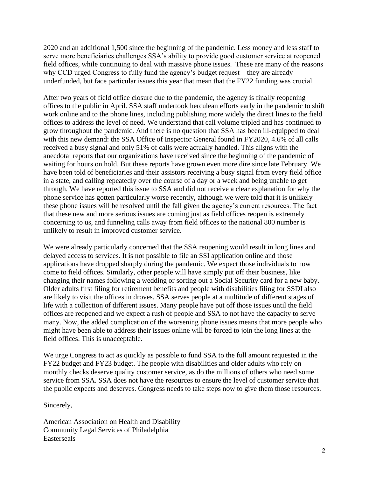2020 and an additional 1,500 since the beginning of the pandemic. Less money and less staff to serve more beneficiaries challenges SSA's ability to provide good customer service at reopened field offices, while continuing to deal with massive phone issues. These are many of the reasons why CCD urged Congress to fully fund the agency's budget request—they are already underfunded, but face particular issues this year that mean that the FY22 funding was crucial.

After two years of field office closure due to the pandemic, the agency is finally reopening offices to the public in April. SSA staff undertook herculean efforts early in the pandemic to shift work online and to the phone lines, including publishing more widely the direct lines to the field offices to address the level of need. We understand that call volume tripled and has continued to grow throughout the pandemic. And there is no question that SSA has been ill-equipped to deal with this new demand: the SSA Office of Inspector General found in FY2020, 4.6% of all calls received a busy signal and only 51% of calls were actually handled. This aligns with the anecdotal reports that our organizations have received since the beginning of the pandemic of waiting for hours on hold. But these reports have grown even more dire since late February. We have been told of beneficiaries and their assistors receiving a busy signal from every field office in a state, and calling repeatedly over the course of a day or a week and being unable to get through. We have reported this issue to SSA and did not receive a clear explanation for why the phone service has gotten particularly worse recently, although we were told that it is unlikely these phone issues will be resolved until the fall given the agency's current resources. The fact that these new and more serious issues are coming just as field offices reopen is extremely concerning to us, and funneling calls away from field offices to the national 800 number is unlikely to result in improved customer service.

We were already particularly concerned that the SSA reopening would result in long lines and delayed access to services. It is not possible to file an SSI application online and those applications have dropped sharply during the pandemic. We expect those individuals to now come to field offices. Similarly, other people will have simply put off their business, like changing their names following a wedding or sorting out a Social Security card for a new baby. Older adults first filing for retirement benefits and people with disabilities filing for SSDI also are likely to visit the offices in droves. SSA serves people at a multitude of different stages of life with a collection of different issues. Many people have put off those issues until the field offices are reopened and we expect a rush of people and SSA to not have the capacity to serve many. Now, the added complication of the worsening phone issues means that more people who might have been able to address their issues online will be forced to join the long lines at the field offices. This is unacceptable.

We urge Congress to act as quickly as possible to fund SSA to the full amount requested in the FY22 budget and FY23 budget. The people with disabilities and older adults who rely on monthly checks deserve quality customer service, as do the millions of others who need some service from SSA. SSA does not have the resources to ensure the level of customer service that the public expects and deserves. Congress needs to take steps now to give them those resources.

Sincerely,

American Association on Health and Disability Community Legal Services of Philadelphia Easterseals